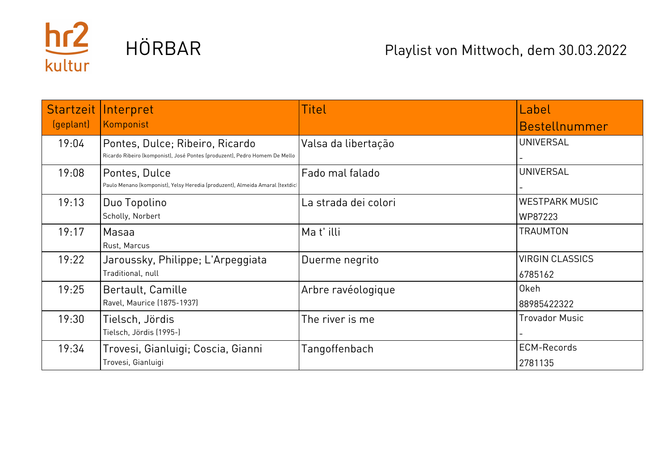

| <b>Startzeit</b> | Interpret                                                                                                     | Titel                  | Label                             |
|------------------|---------------------------------------------------------------------------------------------------------------|------------------------|-----------------------------------|
| (geplant)        | Komponist                                                                                                     |                        | Bestellnummer                     |
| 19:04            | Pontes, Dulce; Ribeiro, Ricardo<br>Ricardo Ribeiro (komponist), José Pontes (produzent), Pedro Homem De Mello | Valsa da libertação    | <b>UNIVERSAL</b>                  |
| 19:08            | Pontes, Dulce<br>Paulo Menano (komponist), Yelsy Heredia (produzent), Almeida Amaral (textdic                 | <b>Fado mal falado</b> | <b>UNIVERSAL</b>                  |
| 19:13            | Duo Topolino<br>Scholly, Norbert                                                                              | La strada dei colori   | <b>WESTPARK MUSIC</b><br>WP87223  |
| 19:17            | Masaa<br>Rust, Marcus                                                                                         | Mat'illi               | <b>TRAUMTON</b>                   |
| 19:22            | Jaroussky, Philippe; L'Arpeggiata<br>Traditional, null                                                        | Duerme negrito         | <b>VIRGIN CLASSICS</b><br>6785162 |
| 19:25            | Bertault, Camille<br>Ravel, Maurice (1875-1937)                                                               | Arbre ravéologique     | 0keh<br>88985422322               |
| 19:30            | Tielsch, Jördis<br>Tielsch, Jördis (1995-)                                                                    | The river is me        | <b>Trovador Music</b>             |
| 19:34            | Trovesi, Gianluigi; Coscia, Gianni<br>Trovesi, Gianluigi                                                      | Tangoffenbach          | <b>ECM-Records</b><br>2781135     |